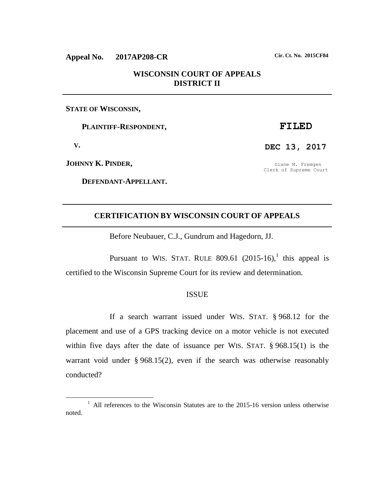# **Appeal No. 2017AP208-CR Cir. Ct. No. 2015CF84**

# **WISCONSIN COURT OF APPEALS DISTRICT II**

## **STATE OF WISCONSIN,**

 **PLAINTIFF-RESPONDENT,**

 **V.**

 $\overline{a}$ 

**JOHNNY K. PINDER,**

 **DEFENDANT-APPELLANT.**

# **FILED**

**DEC 13, 2017**

Diane M. Fremgen Clerk of Supreme Court

# **CERTIFICATION BY WISCONSIN COURT OF APPEALS**

Before Neubauer, C.J., Gundrum and Hagedorn, JJ.

Pursuant to WIS. STAT. RULE 809.61  $(2015-16)$ , this appeal is certified to the Wisconsin Supreme Court for its review and determination.

#### ISSUE

If a search warrant issued under WIS. STAT. § 968.12 for the placement and use of a GPS tracking device on a motor vehicle is not executed within five days after the date of issuance per WIS. STAT. § 968.15(1) is the warrant void under § 968.15(2), even if the search was otherwise reasonably conducted?

<sup>&</sup>lt;sup>1</sup> All references to the Wisconsin Statutes are to the 2015-16 version unless otherwise noted.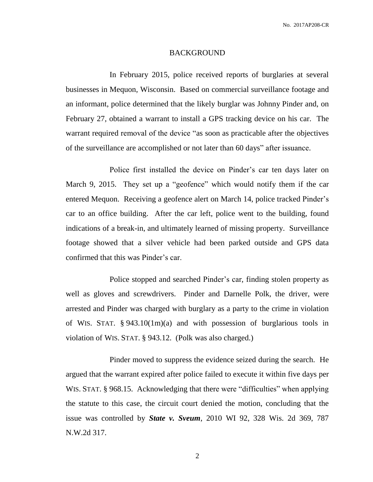#### BACKGROUND

In February 2015, police received reports of burglaries at several businesses in Mequon, Wisconsin. Based on commercial surveillance footage and an informant, police determined that the likely burglar was Johnny Pinder and, on February 27, obtained a warrant to install a GPS tracking device on his car. The warrant required removal of the device "as soon as practicable after the objectives of the surveillance are accomplished or not later than 60 days" after issuance.

Police first installed the device on Pinder's car ten days later on March 9, 2015. They set up a "geofence" which would notify them if the car entered Mequon. Receiving a geofence alert on March 14, police tracked Pinder's car to an office building. After the car left, police went to the building, found indications of a break-in, and ultimately learned of missing property. Surveillance footage showed that a silver vehicle had been parked outside and GPS data confirmed that this was Pinder's car.

Police stopped and searched Pinder's car, finding stolen property as well as gloves and screwdrivers. Pinder and Darnelle Polk, the driver, were arrested and Pinder was charged with burglary as a party to the crime in violation of WIS. STAT. § 943.10(1m)(a) and with possession of burglarious tools in violation of WIS. STAT. § 943.12. (Polk was also charged.)

Pinder moved to suppress the evidence seized during the search. He argued that the warrant expired after police failed to execute it within five days per WIS. STAT. § 968.15. Acknowledging that there were "difficulties" when applying the statute to this case, the circuit court denied the motion, concluding that the issue was controlled by *State v. Sveum*, 2010 WI 92, 328 Wis. 2d 369, 787 N.W.2d 317.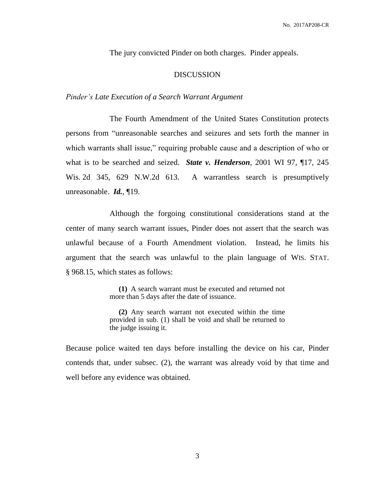The jury convicted Pinder on both charges. Pinder appeals.

## DISCUSSION

## *Pinder's Late Execution of a Search Warrant Argument*

The Fourth Amendment of the United States Constitution protects persons from "unreasonable searches and seizures and sets forth the manner in which warrants shall issue," requiring probable cause and a description of who or what is to be searched and seized. *State v. Henderson*, 2001 WI 97, ¶17, 245 Wis. 2d 345, 629 N.W.2d 613. A warrantless search is presumptively unreasonable. *Id.*, ¶19.

Although the forgoing constitutional considerations stand at the center of many search warrant issues, Pinder does not assert that the search was unlawful because of a Fourth Amendment violation. Instead, he limits his argument that the search was unlawful to the plain language of WIS. STAT. § 968.15, which states as follows:

> **(1)** A search warrant must be executed and returned not more than 5 days after the date of issuance.

> **(2)** Any search warrant not executed within the time provided in sub. (1) shall be void and shall be returned to the judge issuing it.

Because police waited ten days before installing the device on his car, Pinder contends that, under subsec. (2), the warrant was already void by that time and well before any evidence was obtained.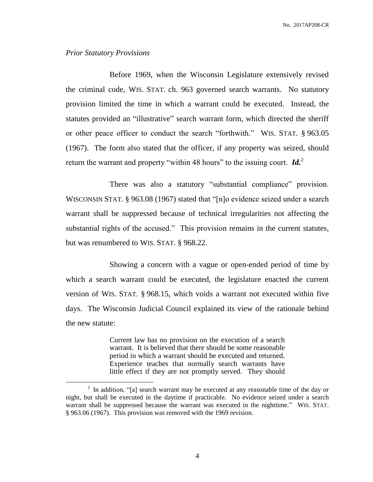### *Prior Statutory Provisions*

 $\overline{a}$ 

Before 1969, when the Wisconsin Legislature extensively revised the criminal code, WIS. STAT. ch. 963 governed search warrants. No statutory provision limited the time in which a warrant could be executed. Instead, the statutes provided an "illustrative" search warrant form, which directed the sheriff or other peace officer to conduct the search "forthwith." WIS. STAT. § 963.05 (1967). The form also stated that the officer, if any property was seized, should return the warrant and property "within 48 hours" to the issuing court. *Id.*<sup>2</sup>

There was also a statutory "substantial compliance" provision. WISCONSIN STAT. § 963.08 (1967) stated that "[n]o evidence seized under a search warrant shall be suppressed because of technical irregularities not affecting the substantial rights of the accused." This provision remains in the current statutes, but was renumbered to WIS. STAT. § 968.22.

Showing a concern with a vague or open-ended period of time by which a search warrant could be executed, the legislature enacted the current version of WIS. STAT. § 968.15, which voids a warrant not executed within five days. The Wisconsin Judicial Council explained its view of the rationale behind the new statute:

> Current law has no provision on the execution of a search warrant. It is believed that there should be some reasonable period in which a warrant should be executed and returned. Experience teaches that normally search warrants have little effect if they are not promptly served. They should

 $2$  In addition, "[a] search warrant may be executed at any reasonable time of the day or night, but shall be executed in the daytime if practicable. No evidence seized under a search warrant shall be suppressed because the warrant was executed in the nighttime." WIS. STAT. § 963.06 (1967). This provision was removed with the 1969 revision.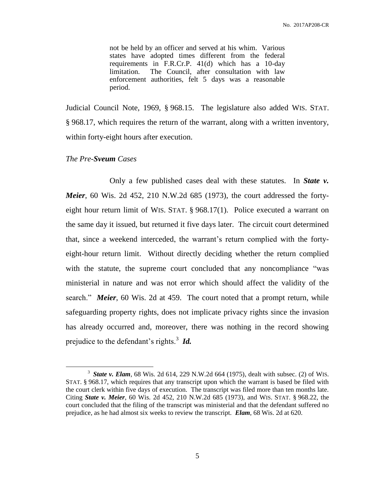not be held by an officer and served at his whim. Various states have adopted times different from the federal requirements in F.R.Cr.P. 41(d) which has a 10-day limitation. The Council, after consultation with law enforcement authorities, felt 5 days was a reasonable period.

Judicial Council Note, 1969, § 968.15. The legislature also added WIS. STAT. § 968.17, which requires the return of the warrant, along with a written inventory, within forty-eight hours after execution.

#### *The Pre-Sveum Cases*

 $\overline{a}$ 

Only a few published cases deal with these statutes. In *State v. Meier*, 60 Wis. 2d 452, 210 N.W.2d 685 (1973), the court addressed the fortyeight hour return limit of WIS. STAT. § 968.17(1). Police executed a warrant on the same day it issued, but returned it five days later. The circuit court determined that, since a weekend interceded, the warrant's return complied with the fortyeight-hour return limit. Without directly deciding whether the return complied with the statute, the supreme court concluded that any noncompliance "was ministerial in nature and was not error which should affect the validity of the search." *Meier*, 60 Wis. 2d at 459. The court noted that a prompt return, while safeguarding property rights, does not implicate privacy rights since the invasion has already occurred and, moreover, there was nothing in the record showing prejudice to the defendant's rights.<sup>3</sup> *Id.* 

<sup>3</sup> *State v. Elam*, 68 Wis. 2d 614, 229 N.W.2d 664 (1975), dealt with subsec. (2) of WIS. STAT. § 968.17, which requires that any transcript upon which the warrant is based be filed with the court clerk within five days of execution. The transcript was filed more than ten months late. Citing *State v. Meier*, 60 Wis. 2d 452, 210 N.W.2d 685 (1973), and WIS. STAT. § 968.22, the court concluded that the filing of the transcript was ministerial and that the defendant suffered no prejudice, as he had almost six weeks to review the transcript. *Elam*, 68 Wis. 2d at 620.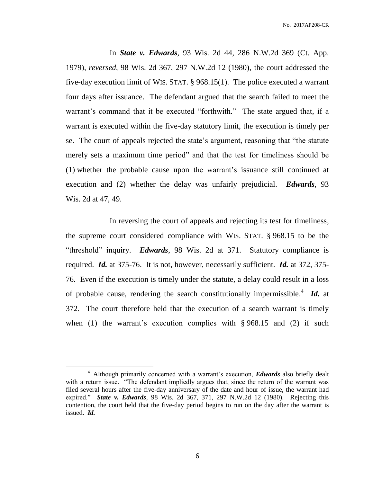In *State v. Edwards*, 93 Wis. 2d 44, 286 N.W.2d 369 (Ct. App. 1979), *reversed*, 98 Wis. 2d 367, 297 N.W.2d 12 (1980), the court addressed the five-day execution limit of WIS. STAT. § 968.15(1). The police executed a warrant four days after issuance. The defendant argued that the search failed to meet the warrant's command that it be executed "forthwith." The state argued that, if a warrant is executed within the five-day statutory limit, the execution is timely per se. The court of appeals rejected the state's argument, reasoning that "the statute merely sets a maximum time period" and that the test for timeliness should be (1) whether the probable cause upon the warrant's issuance still continued at execution and (2) whether the delay was unfairly prejudicial. *Edwards*, 93 Wis. 2d at 47, 49.

In reversing the court of appeals and rejecting its test for timeliness, the supreme court considered compliance with WIS. STAT. § 968.15 to be the "threshold" inquiry. *Edwards*, 98 Wis. 2d at 371. Statutory compliance is required. *Id.* at 375-76. It is not, however, necessarily sufficient. *Id.* at 372, 375- 76. Even if the execution is timely under the statute, a delay could result in a loss of probable cause, rendering the search constitutionally impermissible. 4 *Id.* at 372. The court therefore held that the execution of a search warrant is timely when (1) the warrant's execution complies with  $\S 968.15$  and (2) if such

 $\overline{a}$ 

<sup>4</sup> Although primarily concerned with a warrant's execution, *Edwards* also briefly dealt with a return issue. "The defendant impliedly argues that, since the return of the warrant was filed several hours after the five-day anniversary of the date and hour of issue, the warrant had expired." *State v. Edwards*, 98 Wis. 2d 367, 371, 297 N.W.2d 12 (1980). Rejecting this contention, the court held that the five-day period begins to run on the day after the warrant is issued. *Id.*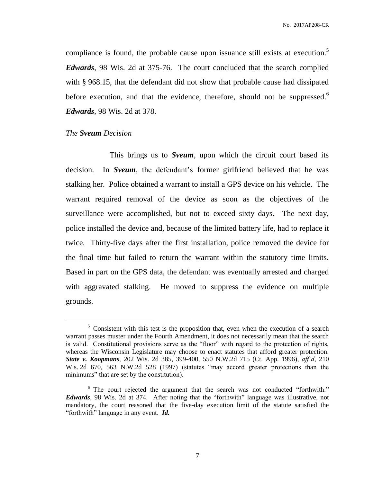compliance is found, the probable cause upon issuance still exists at execution.<sup>5</sup> *Edwards*, 98 Wis. 2d at 375-76. The court concluded that the search complied with § 968.15, that the defendant did not show that probable cause had dissipated before execution, and that the evidence, therefore, should not be suppressed.<sup>6</sup> *Edwards*, 98 Wis. 2d at 378.

#### *The Sveum Decision*

 $\overline{a}$ 

This brings us to *Sveum*, upon which the circuit court based its decision. In *Sveum*, the defendant's former girlfriend believed that he was stalking her. Police obtained a warrant to install a GPS device on his vehicle. The warrant required removal of the device as soon as the objectives of the surveillance were accomplished, but not to exceed sixty days. The next day, police installed the device and, because of the limited battery life, had to replace it twice. Thirty-five days after the first installation, police removed the device for the final time but failed to return the warrant within the statutory time limits. Based in part on the GPS data, the defendant was eventually arrested and charged with aggravated stalking. He moved to suppress the evidence on multiple grounds.

 $5$  Consistent with this test is the proposition that, even when the execution of a search warrant passes muster under the Fourth Amendment, it does not necessarily mean that the search is valid. Constitutional provisions serve as the "floor" with regard to the protection of rights, whereas the Wisconsin Legislature may choose to enact statutes that afford greater protection. *State v. Koopmans*, 202 Wis. 2d 385, 399-400, 550 N.W.2d 715 (Ct. App. 1996), *aff'd*, 210 Wis. 2d 670, 563 N.W.2d 528 (1997) (statutes "may accord greater protections than the minimums" that are set by the constitution).

<sup>&</sup>lt;sup>6</sup> The court rejected the argument that the search was not conducted "forthwith." *Edwards*, 98 Wis. 2d at 374. After noting that the "forthwith" language was illustrative, not mandatory, the court reasoned that the five-day execution limit of the statute satisfied the "forthwith" language in any event. *Id.*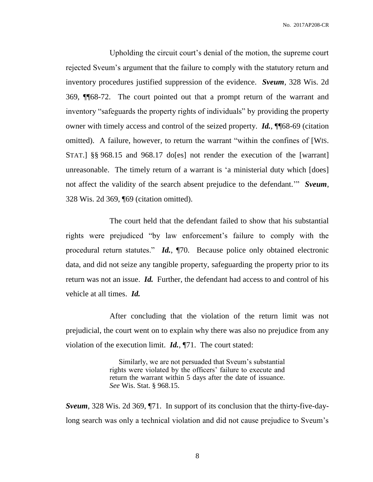No. 2017AP208-CR

Upholding the circuit court's denial of the motion, the supreme court rejected Sveum's argument that the failure to comply with the statutory return and inventory procedures justified suppression of the evidence. *Sveum*, 328 Wis. 2d 369, ¶¶68-72. The court pointed out that a prompt return of the warrant and inventory "safeguards the property rights of individuals" by providing the property owner with timely access and control of the seized property. *Id.*, ¶¶68-69 (citation omitted). A failure, however, to return the warrant "within the confines of [WIS. STAT.] §§ 968.15 and 968.17 do[es] not render the execution of the [warrant] unreasonable. The timely return of a warrant is 'a ministerial duty which [does] not affect the validity of the search absent prejudice to the defendant.'" *Sveum*, 328 Wis. 2d 369, ¶69 (citation omitted).

The court held that the defendant failed to show that his substantial rights were prejudiced "by law enforcement's failure to comply with the procedural return statutes." *Id.*, ¶70. Because police only obtained electronic data, and did not seize any tangible property, safeguarding the property prior to its return was not an issue. *Id.* Further, the defendant had access to and control of his vehicle at all times. *Id.*

After concluding that the violation of the return limit was not prejudicial, the court went on to explain why there was also no prejudice from any violation of the execution limit. *Id.*, ¶71. The court stated:

> Similarly, we are not persuaded that Sveum's substantial rights were violated by the officers' failure to execute and return the warrant within 5 days after the date of issuance. *See* Wis. Stat. § 968.15.

*Sveum*, 328 Wis. 2d 369, ¶71. In support of its conclusion that the thirty-five-daylong search was only a technical violation and did not cause prejudice to Sveum's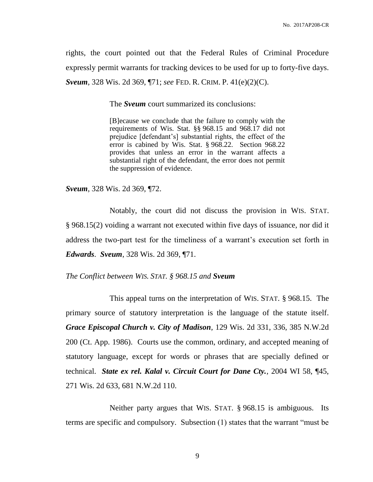rights, the court pointed out that the Federal Rules of Criminal Procedure expressly permit warrants for tracking devices to be used for up to forty-five days. *Sveum*, 328 Wis. 2d 369, ¶71; *see* FED. R. CRIM. P. 41(e)(2)(C).

The *Sveum* court summarized its conclusions:

[B]ecause we conclude that the failure to comply with the requirements of Wis. Stat. §§ 968.15 and 968.17 did not prejudice [defendant's] substantial rights, the effect of the error is cabined by Wis. Stat. § 968.22. Section 968.22 provides that unless an error in the warrant affects a substantial right of the defendant, the error does not permit the suppression of evidence.

*Sveum*, 328 Wis. 2d 369, ¶72.

Notably, the court did not discuss the provision in WIS. STAT. § 968.15(2) voiding a warrant not executed within five days of issuance, nor did it address the two-part test for the timeliness of a warrant's execution set forth in *Edwards*. *Sveum*, 328 Wis. 2d 369, ¶71.

*The Conflict between WIS. STAT. § 968.15 and Sveum*

This appeal turns on the interpretation of WIS. STAT. § 968.15. The primary source of statutory interpretation is the language of the statute itself. *Grace Episcopal Church v. City of Madison*, 129 Wis. 2d 331, 336, 385 N.W.2d 200 (Ct. App. 1986). Courts use the common, ordinary, and accepted meaning of statutory language, except for words or phrases that are specially defined or technical. *State ex rel. Kalal v. Circuit Court for Dane Cty.*, 2004 WI 58, ¶45, 271 Wis. 2d 633, 681 N.W.2d 110.

Neither party argues that WIS. STAT. § 968.15 is ambiguous. Its terms are specific and compulsory. Subsection (1) states that the warrant "must be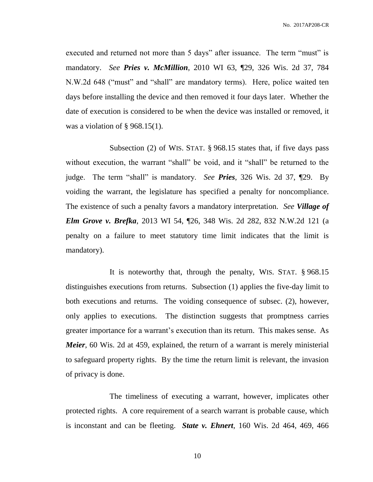executed and returned not more than 5 days" after issuance. The term "must" is mandatory. *See Pries v. McMillion*, 2010 WI 63, ¶29, 326 Wis. 2d 37, 784 N.W.2d 648 ("must" and "shall" are mandatory terms). Here, police waited ten days before installing the device and then removed it four days later. Whether the date of execution is considered to be when the device was installed or removed, it was a violation of  $\S$  968.15(1).

Subsection (2) of WIS. STAT. § 968.15 states that, if five days pass without execution, the warrant "shall" be void, and it "shall" be returned to the judge. The term "shall" is mandatory. *See Pries*, 326 Wis. 2d 37, ¶29. By voiding the warrant, the legislature has specified a penalty for noncompliance. The existence of such a penalty favors a mandatory interpretation. *See Village of Elm Grove v. Brefka*, 2013 WI 54, ¶26, 348 Wis. 2d 282, 832 N.W.2d 121 (a penalty on a failure to meet statutory time limit indicates that the limit is mandatory).

It is noteworthy that, through the penalty, WIS. STAT. § 968.15 distinguishes executions from returns. Subsection (1) applies the five-day limit to both executions and returns. The voiding consequence of subsec. (2), however, only applies to executions. The distinction suggests that promptness carries greater importance for a warrant's execution than its return. This makes sense. As *Meier*, 60 Wis. 2d at 459, explained, the return of a warrant is merely ministerial to safeguard property rights. By the time the return limit is relevant, the invasion of privacy is done.

The timeliness of executing a warrant, however, implicates other protected rights. A core requirement of a search warrant is probable cause, which is inconstant and can be fleeting. *State v. Ehnert*, 160 Wis. 2d 464, 469, 466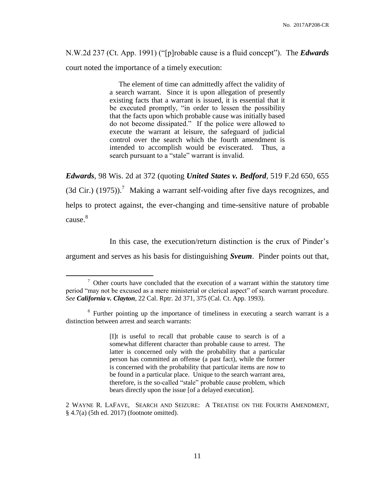N.W.2d 237 (Ct. App. 1991) ("[p]robable cause is a fluid concept"). The *Edwards* court noted the importance of a timely execution:

> The element of time can admittedly affect the validity of a search warrant. Since it is upon allegation of presently existing facts that a warrant is issued, it is essential that it be executed promptly, "in order to lessen the possibility that the facts upon which probable cause was initially based do not become dissipated." If the police were allowed to execute the warrant at leisure, the safeguard of judicial control over the search which the fourth amendment is intended to accomplish would be eviscerated. Thus, a search pursuant to a "stale" warrant is invalid.

*Edwards*, 98 Wis. 2d at 372 (quoting *United States v. Bedford*, 519 F.2d 650, 655 (3d Cir.) (1975)).<sup>7</sup> Making a warrant self-voiding after five days recognizes, and helps to protect against, the ever-changing and time-sensitive nature of probable cause. 8

In this case, the execution/return distinction is the crux of Pinder's

argument and serves as his basis for distinguishing *Sveum*. Pinder points out that,

 $\overline{a}$ 

[I]t is useful to recall that probable cause to search is of a somewhat different character than probable cause to arrest. The latter is concerned only with the probability that a particular person has committed an offense (a past fact), while the former is concerned with the probability that particular items are *now* to be found in a particular place. Unique to the search warrant area, therefore, is the so-called "stale" probable cause problem, which bears directly upon the issue [of a delayed execution].

 $\sigma$  Other courts have concluded that the execution of a warrant within the statutory time period "may not be excused as a mere ministerial or clerical aspect" of search warrant procedure. *See California v. Clayton*, 22 Cal. Rptr. 2d 371, 375 (Cal. Ct. App. 1993).

<sup>&</sup>lt;sup>8</sup> Further pointing up the importance of timeliness in executing a search warrant is a distinction between arrest and search warrants:

<sup>2</sup> WAYNE R. LAFAVE, SEARCH AND SEIZURE: A TREATISE ON THE FOURTH AMENDMENT, § 4.7(a) (5th ed. 2017) (footnote omitted).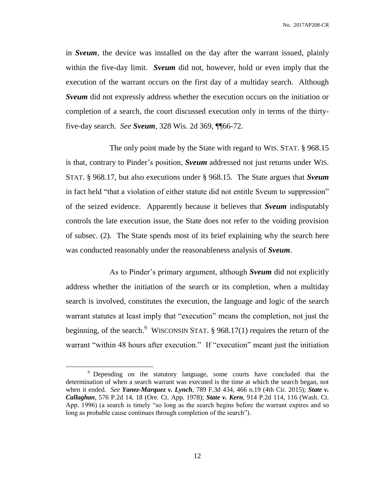in *Sveum*, the device was installed on the day after the warrant issued, plainly within the five-day limit. *Sveum* did not, however, hold or even imply that the execution of the warrant occurs on the first day of a multiday search. Although *Sveum* did not expressly address whether the execution occurs on the initiation or completion of a search, the court discussed execution only in terms of the thirtyfive-day search. *See Sveum*, 328 Wis. 2d 369, ¶¶66-72.

The only point made by the State with regard to WIS. STAT. § 968.15 is that, contrary to Pinder's position, *Sveum* addressed not just returns under WIS. STAT. § 968.17, but also executions under § 968.15. The State argues that *Sveum* in fact held "that a violation of either statute did not entitle Sveum to suppression" of the seized evidence. Apparently because it believes that *Sveum* indisputably controls the late execution issue, the State does not refer to the voiding provision of subsec. (2). The State spends most of its brief explaining why the search here was conducted reasonably under the reasonableness analysis of *Sveum*.

As to Pinder's primary argument, although *Sveum* did not explicitly address whether the initiation of the search or its completion, when a multiday search is involved, constitutes the execution, the language and logic of the search warrant statutes at least imply that "execution" means the completion, not just the beginning, of the search.<sup>9</sup> WISCONSIN STAT.  $\S$  968.17(1) requires the return of the warrant "within 48 hours after execution." If "execution" meant just the initiation

 $\overline{a}$ 

<sup>&</sup>lt;sup>9</sup> Depending on the statutory language, some courts have concluded that the determination of when a search warrant was executed is the time at which the search began, not when it ended. *See Yanez-Marquez v. Lynch*, 789 F.3d 434, 466 n.19 (4th Cir. 2015); *State v. Callaghan*, 576 P.2d 14, 18 (Ore. Ct. App. 1978); *State v. Kern*, 914 P.2d 114, 116 (Wash. Ct. App. 1996) (a search is timely "so long as the search begins before the warrant expires and so long as probable cause continues through completion of the search").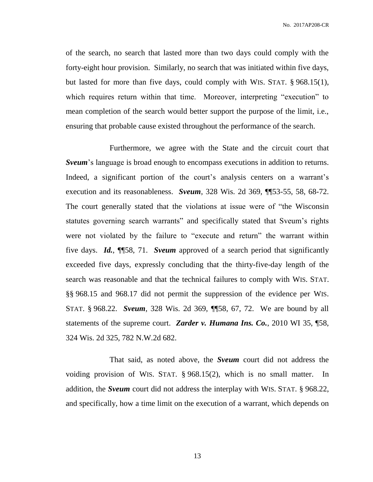No. 2017AP208-CR

of the search, no search that lasted more than two days could comply with the forty-eight hour provision. Similarly, no search that was initiated within five days, but lasted for more than five days, could comply with WIS. STAT. § 968.15(1), which requires return within that time. Moreover, interpreting "execution" to mean completion of the search would better support the purpose of the limit, i.e., ensuring that probable cause existed throughout the performance of the search.

Furthermore, we agree with the State and the circuit court that *Sveum*'s language is broad enough to encompass executions in addition to returns. Indeed, a significant portion of the court's analysis centers on a warrant's execution and its reasonableness. *Sveum*, 328 Wis. 2d 369, ¶¶53-55, 58, 68-72. The court generally stated that the violations at issue were of "the Wisconsin statutes governing search warrants" and specifically stated that Sveum's rights were not violated by the failure to "execute and return" the warrant within five days. *Id.*, ¶¶58, 71. *Sveum* approved of a search period that significantly exceeded five days, expressly concluding that the thirty-five-day length of the search was reasonable and that the technical failures to comply with WIS. STAT. §§ 968.15 and 968.17 did not permit the suppression of the evidence per WIS. STAT. § 968.22. *Sveum*, 328 Wis. 2d 369, ¶¶58, 67, 72. We are bound by all statements of the supreme court. *Zarder v. Humana Ins. Co.*, 2010 WI 35, ¶58, 324 Wis. 2d 325, 782 N.W.2d 682.

That said, as noted above, the *Sveum* court did not address the voiding provision of WIS. STAT. § 968.15(2), which is no small matter. In addition, the *Sveum* court did not address the interplay with WIS. STAT. § 968.22, and specifically, how a time limit on the execution of a warrant, which depends on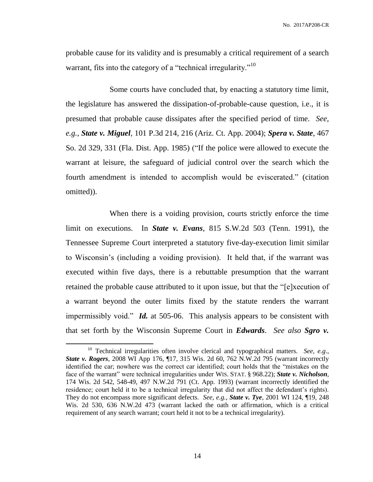No. 2017AP208-CR

probable cause for its validity and is presumably a critical requirement of a search warrant, fits into the category of a "technical irregularity."<sup>10</sup>

Some courts have concluded that, by enacting a statutory time limit, the legislature has answered the dissipation-of-probable-cause question, i.e., it is presumed that probable cause dissipates after the specified period of time. *See, e.g.*, *State v. Miguel*, 101 P.3d 214, 216 (Ariz. Ct. App. 2004); *Spera v. State*, 467 So. 2d 329, 331 (Fla. Dist. App. 1985) ("If the police were allowed to execute the warrant at leisure, the safeguard of judicial control over the search which the fourth amendment is intended to accomplish would be eviscerated." (citation omitted)).

When there is a voiding provision, courts strictly enforce the time limit on executions. In *State v. Evans*, 815 S.W.2d 503 (Tenn. 1991), the Tennessee Supreme Court interpreted a statutory five-day-execution limit similar to Wisconsin's (including a voiding provision). It held that, if the warrant was executed within five days, there is a rebuttable presumption that the warrant retained the probable cause attributed to it upon issue, but that the "[e]xecution of a warrant beyond the outer limits fixed by the statute renders the warrant impermissibly void." *Id.* at 505-06. This analysis appears to be consistent with that set forth by the Wisconsin Supreme Court in *Edwards*. *See also Sgro v.*

 $\overline{a}$ 

<sup>&</sup>lt;sup>10</sup> Technical irregularities often involve clerical and typographical matters. *See, e.g.*, *State v. Rogers*, 2008 WI App 176, ¶17, 315 Wis. 2d 60, 762 N.W.2d 795 (warrant incorrectly identified the car; nowhere was the correct car identified; court holds that the "mistakes on the face of the warrant" were technical irregularities under WIS. STAT. § 968.22); *State v. Nicholson*, 174 Wis. 2d 542, 548-49, 497 N.W.2d 791 (Ct. App. 1993) (warrant incorrectly identified the residence; court held it to be a technical irregularity that did not affect the defendant's rights). They do not encompass more significant defects. *See, e.g.*, *State v. Tye*, 2001 WI 124, ¶19, 248 Wis. 2d 530, 636 N.W.2d 473 (warrant lacked the oath or affirmation, which is a critical requirement of any search warrant; court held it not to be a technical irregularity).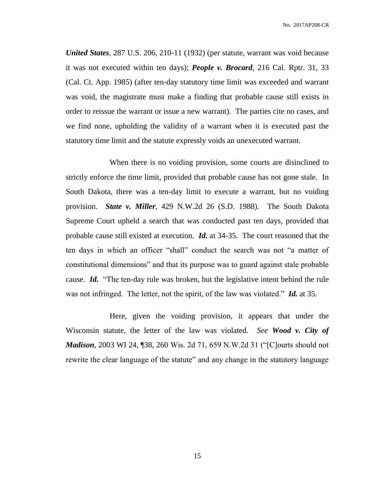*United States*, 287 U.S. 206, 210-11 (1932) (per statute, warrant was void because it was not executed within ten days); *People v. Brocard*, 216 Cal. Rptr. 31, 33 (Cal. Ct. App. 1985) (after ten-day statutory time limit was exceeded and warrant was void, the magistrate must make a finding that probable cause still exists in order to reissue the warrant or issue a new warrant). The parties cite no cases, and we find none, upholding the validity of a warrant when it is executed past the statutory time limit and the statute expressly voids an unexecuted warrant.

When there is no voiding provision, some courts are disinclined to strictly enforce the time limit, provided that probable cause has not gone stale. In South Dakota, there was a ten-day limit to execute a warrant, but no voiding provision. *State v. Miller*, 429 N.W.2d 26 (S.D. 1988). The South Dakota Supreme Court upheld a search that was conducted past ten days, provided that probable cause still existed at execution. *Id.* at 34-35. The court reasoned that the ten days in which an officer "shall" conduct the search was not "a matter of constitutional dimensions" and that its purpose was to guard against stale probable cause. *Id.* "The ten-day rule was broken, but the legislative intent behind the rule was not infringed. The letter, not the spirit, of the law was violated." *Id.* at 35.

Here, given the voiding provision, it appears that under the Wisconsin statute, the letter of the law was violated. *See Wood v. City of Madison*, 2003 WI 24, ¶38, 260 Wis. 2d 71, 659 N.W.2d 31 ("[C]ourts should not rewrite the clear language of the statute" and any change in the statutory language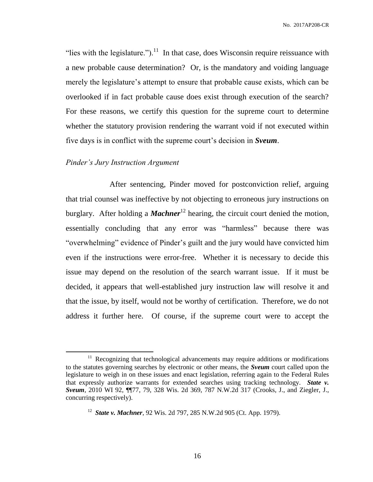"lies with the legislature.").<sup>11</sup> In that case, does Wisconsin require reissuance with a new probable cause determination? Or, is the mandatory and voiding language merely the legislature's attempt to ensure that probable cause exists, which can be overlooked if in fact probable cause does exist through execution of the search? For these reasons, we certify this question for the supreme court to determine whether the statutory provision rendering the warrant void if not executed within five days is in conflict with the supreme court's decision in *Sveum*.

## *Pinder's Jury Instruction Argument*

 $\overline{a}$ 

After sentencing, Pinder moved for postconviction relief, arguing that trial counsel was ineffective by not objecting to erroneous jury instructions on burglary. After holding a *Machner*<sup>12</sup> hearing, the circuit court denied the motion, essentially concluding that any error was "harmless" because there was "overwhelming" evidence of Pinder's guilt and the jury would have convicted him even if the instructions were error-free. Whether it is necessary to decide this issue may depend on the resolution of the search warrant issue. If it must be decided, it appears that well-established jury instruction law will resolve it and that the issue, by itself, would not be worthy of certification. Therefore, we do not address it further here. Of course, if the supreme court were to accept the

<sup>&</sup>lt;sup>11</sup> Recognizing that technological advancements may require additions or modifications to the statutes governing searches by electronic or other means, the *Sveum* court called upon the legislature to weigh in on these issues and enact legislation, referring again to the Federal Rules that expressly authorize warrants for extended searches using tracking technology. *State v. Sveum*, 2010 WI 92, ¶¶77, 79, 328 Wis. 2d 369, 787 N.W.2d 317 (Crooks, J., and Ziegler, J., concurring respectively).

<sup>12</sup> *State v. Machner*, 92 Wis. 2d 797, 285 N.W.2d 905 (Ct. App. 1979).